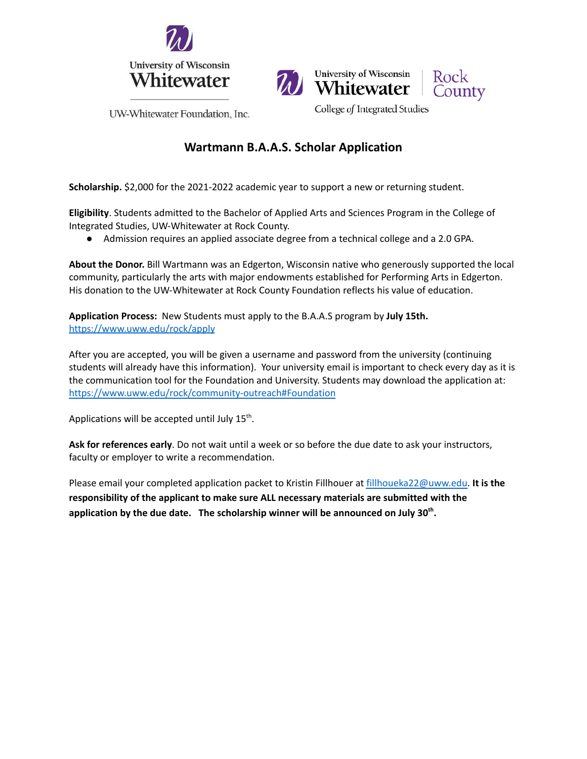



University of Wisconsin

Whitewater

College of Integrated Studies



UW-Whitewater Foundation, Inc.

# **Wartmann B.A.A.S. Scholar Application**

**Scholarship.** \$2,000 for the 2021-2022 academic year to support a new or returning student.

**Eligibility**. Students admitted to the Bachelor of Applied Arts and Sciences Program in the College of Integrated Studies, UW-Whitewater at Rock County.

● Admission requires an applied associate degree from a technical college and a 2.0 GPA.

**About the Donor.** Bill Wartmann was an Edgerton, Wisconsin native who generously supported the local community, particularly the arts with major endowments established for Performing Arts in Edgerton. His donation to the UW-Whitewater at Rock County Foundation reflects his value of education.

**Application Process:** New Students must apply to the B.A.A.S program by **July 15th.** <https://www.uww.edu/rock/apply>

After you are accepted, you will be given a username and password from the university (continuing students will already have this information). Your university email is important to check every day as it is the communication tool for the Foundation and University. Students may download the application at: <https://www.uww.edu/rock/community-outreach#Foundation>

Applications will be accepted until July  $15^{th}$ .

**Ask for references early**. Do not wait until a week or so before the due date to ask your instructors, faculty or employer to write a recommendation.

Please email your completed application packet to Kristin Fillhouer at [fillhoueka22@uww.edu.](mailto:fillhoueka22@uww.edu) **It is the responsibility of the applicant to make sure ALL necessary materials are submitted with the application by the due date. The scholarship winner will be announced on July 30 th .**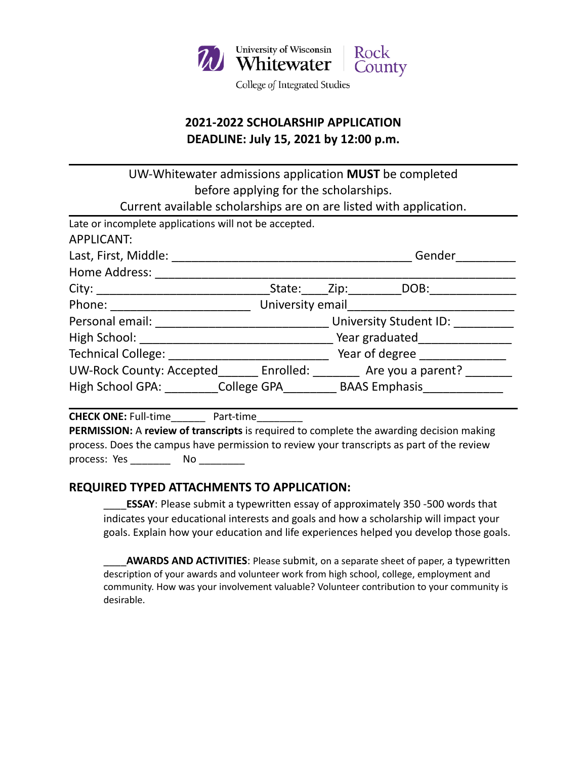

# **2021-2022 SCHOLARSHIP APPLICATION DEADLINE: July 15, 2021 by 12:00 p.m.**

UW-Whitewater admissions application **MUST** be completed before applying for the scholarships. Current available scholarships are on are listed with application. Late or incomplete applications will not be accepted. APPLICANT: Last, First, Middle: \_\_\_\_\_\_\_\_\_\_\_\_\_\_\_\_\_\_\_\_\_\_\_\_\_\_\_\_\_\_\_\_\_\_\_\_ Gender\_\_\_\_\_\_\_\_\_ Home Address: \_\_\_\_\_\_\_\_\_\_\_\_\_\_\_\_\_\_\_\_\_\_\_\_\_\_\_\_\_\_\_\_\_\_\_\_\_\_\_\_\_\_\_\_\_\_\_\_\_\_\_\_\_\_ City: \_\_\_\_\_\_\_\_\_\_\_\_\_\_\_\_\_\_\_\_\_\_\_\_\_\_State:\_\_\_\_Zip:\_\_\_\_\_\_\_\_DOB:\_\_\_\_\_\_\_\_\_\_\_\_\_ Phone: \_\_\_\_\_\_\_\_\_\_\_\_\_\_\_\_\_\_\_\_\_ University email\_\_\_\_\_\_\_\_\_\_\_\_\_\_\_\_\_\_\_\_\_\_\_\_\_ Personal email: \_\_\_\_\_\_\_\_\_\_\_\_\_\_\_\_\_\_\_\_\_\_\_\_\_\_ University Student ID: \_\_\_\_\_\_\_\_\_ High School: \_\_\_\_\_\_\_\_\_\_\_\_\_\_\_\_\_\_\_\_\_\_\_\_\_\_\_\_\_ Year graduated\_\_\_\_\_\_\_\_\_\_\_\_\_\_ Technical College: \_\_\_\_\_\_\_\_\_\_\_\_\_\_\_\_\_\_\_\_\_\_\_\_\_\_\_\_\_\_\_\_\_\_ Year of degree \_\_\_\_\_\_\_\_\_\_\_ UW-Rock County: Accepted\_\_\_\_\_\_\_ Enrolled: \_\_\_\_\_\_\_\_ Are you a parent? \_\_\_\_\_\_\_ High School GPA: \_\_\_\_\_\_\_\_\_College GPA\_\_\_\_\_\_\_\_\_\_\_ BAAS Emphasis\_\_\_\_\_\_\_\_\_\_\_\_\_\_\_\_\_\_

**CHECK ONE:** Full-time Part-time

**PERMISSION:** A **review of transcripts** is required to complete the awarding decision making process. Does the campus have permission to review your transcripts as part of the review process: Yes \_\_\_\_\_\_\_\_\_ No \_\_\_\_\_\_\_\_\_

#### **REQUIRED TYPED ATTACHMENTS TO APPLICATION:**

**ESSAY**: Please submit a typewritten essay of approximately 350 -500 words that indicates your educational interests and goals and how a scholarship will impact your goals. Explain how your education and life experiences helped you develop those goals.

\_\_\_\_**AWARDS AND ACTIVITIES**: Please submit, on a separate sheet of paper, a typewritten description of your awards and volunteer work from high school, college, employment and community. How was your involvement valuable? Volunteer contribution to your community is desirable.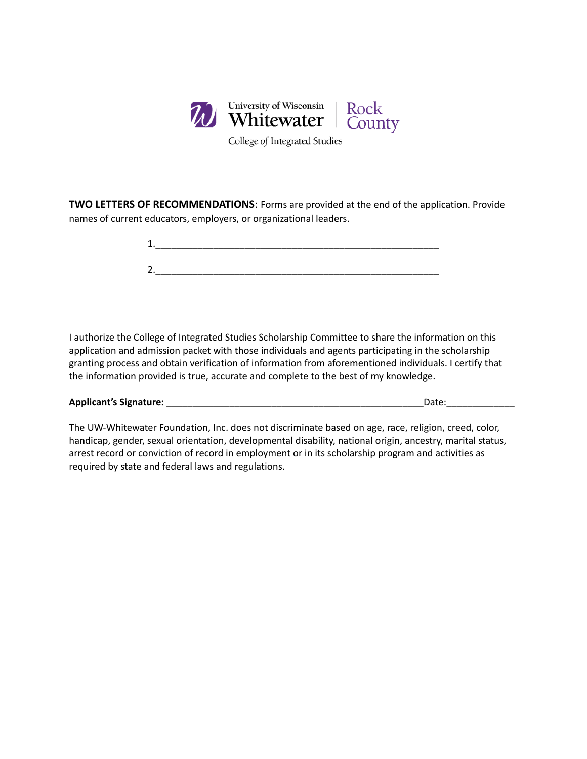

College of Integrated Studies

**TWO LETTERS OF RECOMMENDATIONS**: Forms are provided at the end of the application. Provide names of current educators, employers, or organizational leaders.

I authorize the College of Integrated Studies Scholarship Committee to share the information on this application and admission packet with those individuals and agents participating in the scholarship granting process and obtain verification of information from aforementioned individuals. I certify that the information provided is true, accurate and complete to the best of my knowledge.

| <b>Applicant's Signature:</b> | Date: |
|-------------------------------|-------|
|                               |       |

The UW-Whitewater Foundation, Inc. does not discriminate based on age, race, religion, creed, color, handicap, gender, sexual orientation, developmental disability, national origin, ancestry, marital status, arrest record or conviction of record in employment or in its scholarship program and activities as required by state and federal laws and regulations.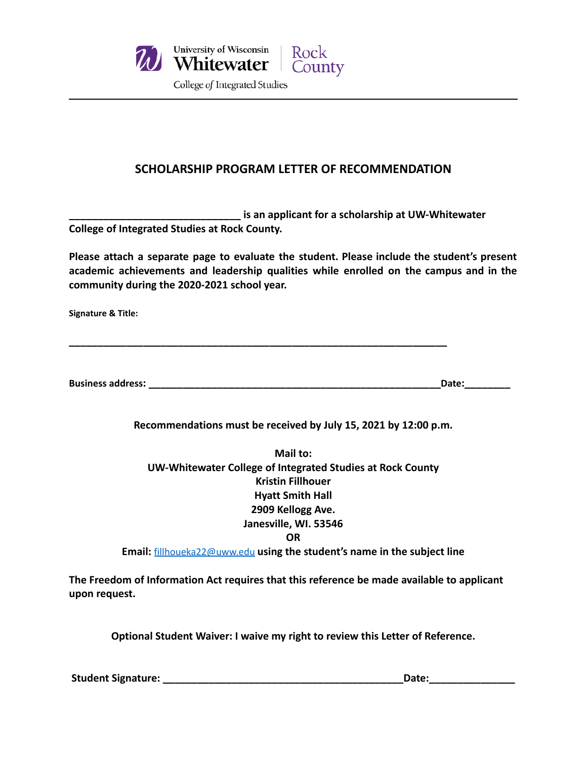

### **SCHOLARSHIP PROGRAM LETTER OF RECOMMENDATION**

**\_\_\_\_\_\_\_\_\_\_\_\_\_\_\_\_\_\_\_\_\_\_\_\_\_\_\_\_\_\_ is an applicant for a scholarship at UW-Whitewater College of Integrated Studies at Rock County.**

**\_\_\_\_\_\_\_\_\_\_\_\_\_\_\_\_\_\_\_\_\_\_\_\_\_\_\_\_\_\_\_\_\_\_\_\_\_\_\_\_\_\_\_\_\_\_\_\_\_\_\_\_\_\_\_\_\_\_\_\_\_\_\_\_\_\_**

**Please attach a separate page to evaluate the student. Please include the student's present academic achievements and leadership qualities while enrolled on the campus and in the community during the 2020-2021 school year.**

**Signature & Title:**

**Business address: \_\_\_\_\_\_\_\_\_\_\_\_\_\_\_\_\_\_\_\_\_\_\_\_\_\_\_\_\_\_\_\_\_\_\_\_\_\_\_\_\_\_\_\_\_\_\_\_\_\_\_Date:\_\_\_\_\_\_\_\_**

**Recommendations must be received by July 15, 2021 by 12:00 p.m.**

**Mail to: UW-Whitewater College of Integrated Studies at Rock County Kristin Fillhouer Hyatt Smith Hall 2909 Kellogg Ave. Janesville, WI. 53546 OR**

**Email:** [fillhoueka22@uww.edu](mailto:fillhoueka22@uww.edu) **using the student's name in the subject line**

**The Freedom of Information Act requires that this reference be made available to applicant upon request.**

**Optional Student Waiver: I waive my right to review this Letter of Reference.**

**Student Signature: \_\_\_\_\_\_\_\_\_\_\_\_\_\_\_\_\_\_\_\_\_\_\_\_\_\_\_\_\_\_\_\_\_\_\_\_\_\_\_\_\_\_Date:\_\_\_\_\_\_\_\_\_\_\_\_\_\_\_**